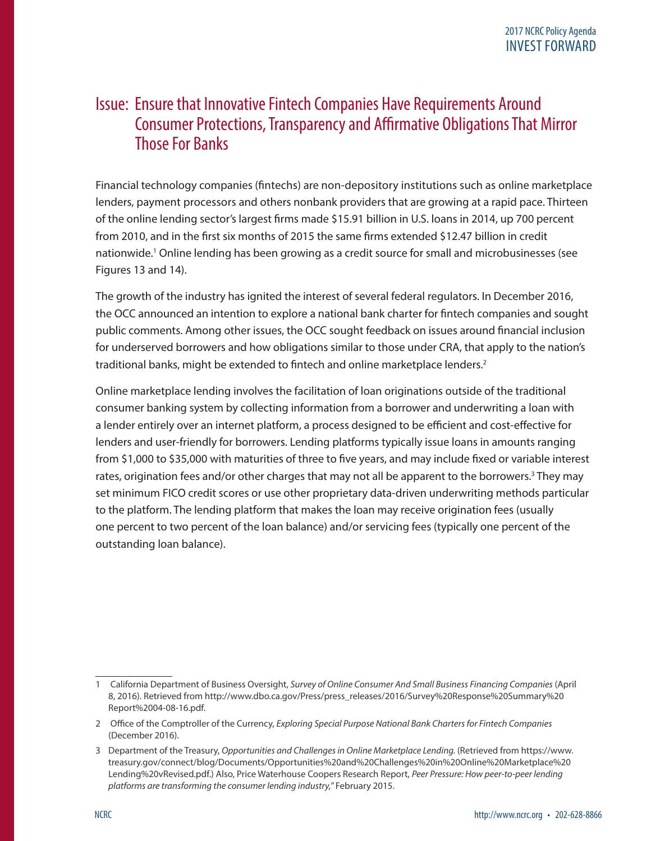### Issue: Ensure that Innovative Fintech Companies Have Requirements Around Consumer Protections, Transparency and Affirmative Obligations That Mirror Those For Banks

Financial technology companies (fintechs) are non-depository institutions such as online marketplace lenders, payment processors and others nonbank providers that are growing at a rapid pace. Thirteen of the online lending sector's largest firms made \$15.91 billion in U.S. loans in 2014, up 700 percent from 2010, and in the first six months of 2015 the same firms extended \$12.47 billion in credit nationwide.<sup>1</sup> Online lending has been growing as a credit source for small and microbusinesses (see Figures 13 and 14).

The growth of the industry has ignited the interest of several federal regulators. In December 2016, the OCC announced an intention to explore a national bank charter for fintech companies and sought public comments. Among other issues, the OCC sought feedback on issues around financial inclusion for underserved borrowers and how obligations similar to those under CRA, that apply to the nation's traditional banks, might be extended to fintech and online marketplace lenders.<sup>2</sup>

Online marketplace lending involves the facilitation of loan originations outside of the traditional consumer banking system by collecting information from a borrower and underwriting a loan with a lender entirely over an internet platform, a process designed to be efficient and cost-effective for lenders and user-friendly for borrowers. Lending platforms typically issue loans in amounts ranging from \$1,000 to \$35,000 with maturities of three to five years, and may include fixed or variable interest rates, origination fees and/or other charges that may not all be apparent to the borrowers.<sup>3</sup> They may set minimum FICO credit scores or use other proprietary data-driven underwriting methods particular to the platform. The lending platform that makes the loan may receive origination fees (usually one percent to two percent of the loan balance) and/or servicing fees (typically one percent of the outstanding loan balance).

<sup>1</sup> California Department of Business Oversight, *Survey of Online Consumer And Small Business Financing Companies* (April 8, 2016). Retrieved from [http://www.dbo.ca.gov/Press/press\\_releases/2016/Survey%20Response%20Summary%20](http://www.dbo.ca.gov/Press/press_releases/2016/Survey%20Response%20Summary%20Report%2004-08-16.pdf) [Report%2004-08-16.pdf.](http://www.dbo.ca.gov/Press/press_releases/2016/Survey%20Response%20Summary%20Report%2004-08-16.pdf)

<sup>2</sup> Office of the Comptroller of the Currency, *Exploring Special Purpose National Bank Charters for Fintech Companies* (December 2016).

<sup>3</sup> Department of the Treasury, *Opportunities and Challenges in Online Marketplace Lending.* (Retrieved from [https://www.](https://www.treasury.gov/connect/blog/Documents/Opportunities%20and%20Challenges%20in%20Online%20Marketplace%20Lending%20vRevised.pdf) [treasury.gov/connect/blog/Documents/Opportunities%20and%20Challenges%20in%20Online%20Marketplace%20](https://www.treasury.gov/connect/blog/Documents/Opportunities%20and%20Challenges%20in%20Online%20Marketplace%20Lending%20vRevised.pdf) [Lending%20vRevised.pdf.](https://www.treasury.gov/connect/blog/Documents/Opportunities%20and%20Challenges%20in%20Online%20Marketplace%20Lending%20vRevised.pdf)) Also, Price Waterhouse Coopers Research Report, *Peer Pressure: How peer-to-peer lending platforms are transforming the consumer lending industry,*" February 2015.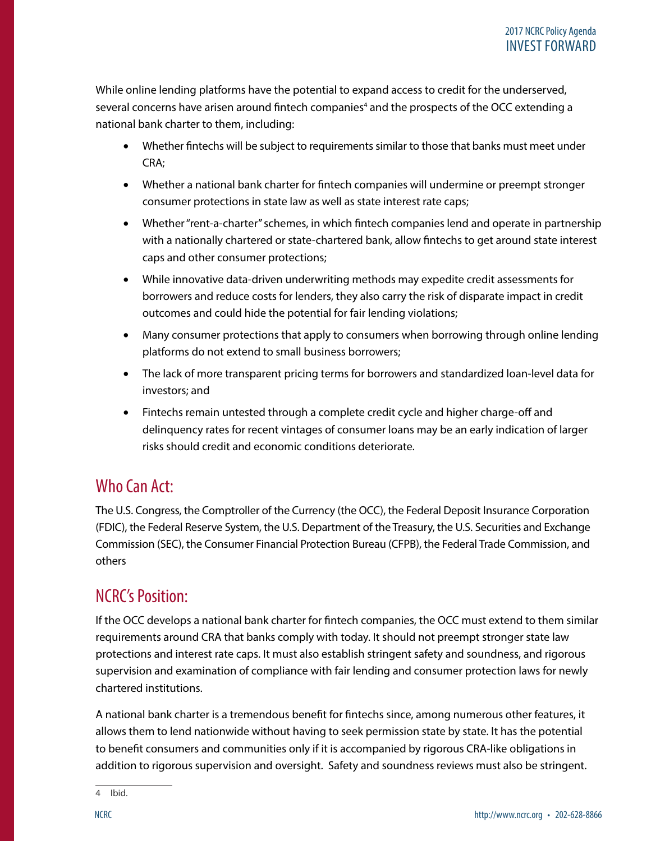While online lending platforms have the potential to expand access to credit for the underserved, several concerns have arisen around fintech companies<sup>4</sup> and the prospects of the OCC extending a national bank charter to them, including:

- Whether fintechs will be subject to requirements similar to those that banks must meet under CRA;
- Whether a national bank charter for fintech companies will undermine or preempt stronger consumer protections in state law as well as state interest rate caps;
- Whether "rent-a-charter" schemes, in which fintech companies lend and operate in partnership with a nationally chartered or state-chartered bank, allow fintechs to get around state interest caps and other consumer protections;
- While innovative data-driven underwriting methods may expedite credit assessments for borrowers and reduce costs for lenders, they also carry the risk of disparate impact in credit outcomes and could hide the potential for fair lending violations;
- Many consumer protections that apply to consumers when borrowing through online lending platforms do not extend to small business borrowers;
- The lack of more transparent pricing terms for borrowers and standardized loan-level data for investors; and
- Fintechs remain untested through a complete credit cycle and higher charge-off and delinquency rates for recent vintages of consumer loans may be an early indication of larger risks should credit and economic conditions deteriorate.

# Who Can Act:

The U.S. Congress, the Comptroller of the Currency (the OCC), the Federal Deposit Insurance Corporation (FDIC), the Federal Reserve System, the U.S. Department of the Treasury, the U.S. Securities and Exchange Commission (SEC), the Consumer Financial Protection Bureau (CFPB), the Federal Trade Commission, and others

# NCRC's Position:

If the OCC develops a national bank charter for fintech companies, the OCC must extend to them similar requirements around CRA that banks comply with today. It should not preempt stronger state law protections and interest rate caps. It must also establish stringent safety and soundness, and rigorous supervision and examination of compliance with fair lending and consumer protection laws for newly chartered institutions.

A national bank charter is a tremendous benefit for fintechs since, among numerous other features, it allows them to lend nationwide without having to seek permission state by state. It has the potential to benefit consumers and communities only if it is accompanied by rigorous CRA-like obligations in addition to rigorous supervision and oversight. Safety and soundness reviews must also be stringent.

<sup>4</sup> Ibid.